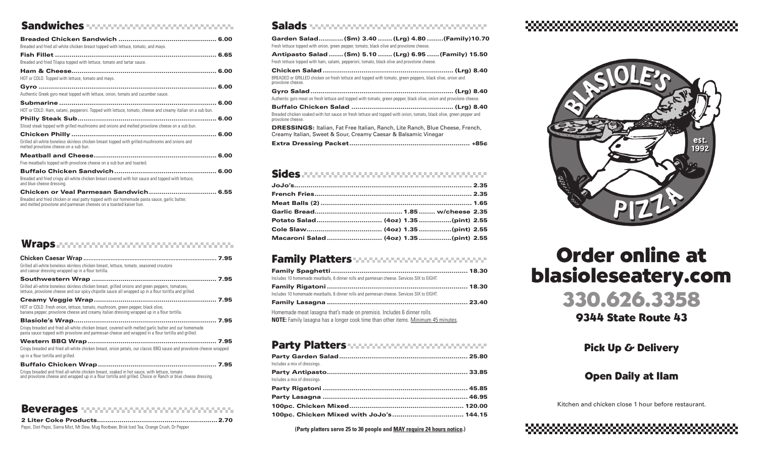#### Sandwiches Salads Salads Salads Salads Salads Salads Salads Salads Salads Salads Salads Salads Salads Salads S

| Breaded and fried all white chicken breast topped with lettuce, tomato, and mayo.                                                                                  |  |
|--------------------------------------------------------------------------------------------------------------------------------------------------------------------|--|
|                                                                                                                                                                    |  |
| Breaded and fried Tilapia topped with lettuce, tomato and tartar sauce.                                                                                            |  |
|                                                                                                                                                                    |  |
| HOT or COLD. Topped with lettuce, tomato and mayo.                                                                                                                 |  |
|                                                                                                                                                                    |  |
| Authentic Greek gyro meat topped with lettuce, onion, tomato and cucumber sauce.                                                                                   |  |
|                                                                                                                                                                    |  |
| HOT or COLD. Ham, salami, pepperoni. Topped with lettuce, tomato, cheese and creamy italian on a sub bun.                                                          |  |
|                                                                                                                                                                    |  |
| Sliced steak topped with grilled mushrooms and onions and melted provolone cheese on a sub bun.                                                                    |  |
|                                                                                                                                                                    |  |
| Grilled all-white boneless skinless chicken breast topped with grilled mushrooms and onions and<br>melted provolone cheese on a sub bun.                           |  |
|                                                                                                                                                                    |  |
| Five meatballs topped with provolone cheese on a sub bun and toasted.                                                                                              |  |
|                                                                                                                                                                    |  |
| Breaded and fried crispy all-white chicken breast covered with hot sauce and topped with lettuce,<br>and blue cheese dressing.                                     |  |
| Chicken or Veal Parmesan Sandwich 6.55                                                                                                                             |  |
| Breaded and fried chicken or veal patty topped with our homemade pasta sauce, garlic butter,<br>and melted provolone and parmesan cheeses on a toasted kaiser bun. |  |

#### Wraps **Announce Communications**

| Grilled all-white boneless skinless chicken breast, lettuce, tomato, seasoned croutons<br>and caesar dressing wrapped up in a flour tortilla.                                                                 |
|---------------------------------------------------------------------------------------------------------------------------------------------------------------------------------------------------------------|
|                                                                                                                                                                                                               |
| Grilled all-white boneless skinless chicken breast, grilled onions and green peppers, tomatoes,<br>lettuce, provolone cheese and our spicy chipotle sauce all wrapped up in a flour toritlla and grilled.     |
|                                                                                                                                                                                                               |
| HOT or COLD. Fresh onion, lettuce, tomato, mushroom, green pepper, black olive,<br>banana pepper, provolone cheese and creamy italian dressing wrapped up in a flour tortilla.                                |
|                                                                                                                                                                                                               |
| Crispy breaded and fried all-white chicken breast, covered with melted garlic butter and our homemade<br>pasta sauce topped with provolone and parmesan cheese and wrapped in a flour tortilla and grilled.   |
|                                                                                                                                                                                                               |
| Crispy breaded and fried all-white chicken breast, onion petals, our classic BBQ sauce and provolone cheese wrapped                                                                                           |
| up in a flour tortilla and grilled.                                                                                                                                                                           |
|                                                                                                                                                                                                               |
| Crispy breaded and fried all-white chicken breast, soaked in hot sauce, with lettuce, tomato<br>and provolone cheese and wrapped up in a flour tortilla and grilled. Choice or Ranch or blue cheese dressing. |

#### Beverages www.www.www.www.com

| Pepsi, Diet Pepsi, Sierra Mist, Mt Dew, Muq Rootbeer, Brisk Iced Tea, Orange Crush, Dr Pepper |  |
|-----------------------------------------------------------------------------------------------|--|

| Garden Salad (Sm) 3.40  (Lrg) 4.80  (Family) 10.70<br>Fresh lettuce topped with onion, green pepper, tomato, black olive and provolone cheese.         |
|--------------------------------------------------------------------------------------------------------------------------------------------------------|
| Antipasto Salad  (Sm) 5.10  (Lrg) 6.95  (Family) 15.50<br>Fresh lettuce topped with ham, salami, pepperoni, tomato, black olive and provolone cheese.  |
| BREADED or GRILLED chicken on fresh lettuce and topped with tomato, green peppers, black olive, onion and<br>provolone cheese.                         |
| Authentic gyro meat on fresh lettuce and topped with tomato, green pepper, black olive, onion and provolone cheese.                                    |
| Breaded chicken soaked with hot sauce on fresh lettuce and topped with onion, tomato, black olive, green pepper and<br>provolone cheese.               |
| <b>DRESSINGS: Italian, Fat Free Italian, Ranch, Lite Ranch, Blue Cheese, French,</b><br>Creamy Italian, Sweet & Sour, Creamy Caesar & Balsamic Vinegar |
|                                                                                                                                                        |

#### Sides accompanyation continuous consumers

| Macaroni Salad (4oz) 1.35(pint) 2.55 |  |  |
|--------------------------------------|--|--|

#### Family Platters www.communications.

| Includes 10 homemade meatballs, 6 dinner rolls and parmesan cheese. Services SIX to EIGHT. |  |
|--------------------------------------------------------------------------------------------|--|
|                                                                                            |  |
| Includes 10 homemade meatballs, 6 dinner rolls and parmesan cheese. Services SIX to EIGHT. |  |
|                                                                                            |  |
| Homemade meat lasagna that's made on premisis. Includes 6 dinner rolls.                    |  |
| <b>NOTE:</b> Family lasagna has a longer cook time than other items. Minimum 45 minutes.   |  |

#### Party Platters www.communications.

| Includes a mix of dressings. |  |
|------------------------------|--|
|                              |  |
| Includes a mix of dressings. |  |
|                              |  |
|                              |  |
|                              |  |
|                              |  |

**(Party platters serve 25 to 30 people and MAY require 24 hours notice.)**

# 



# Order online at blasioleseatery.com



9344 State Route 43

Pick Up & Delivery

### **Open Daily at Ilam**

Kitchen and chicken close 1 hour before restaurant.